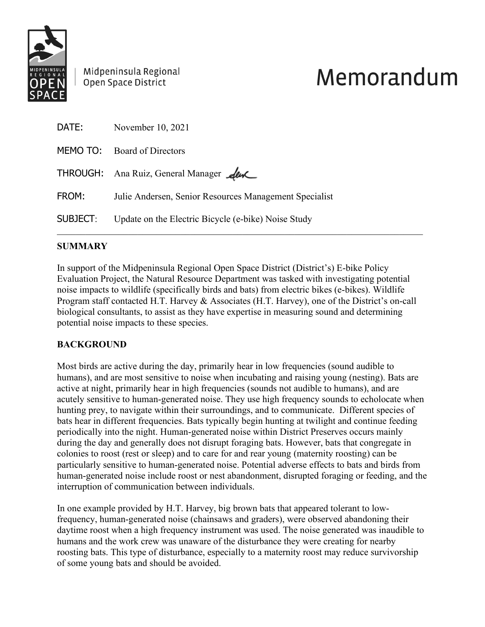

Midpeninsula Regional Open Space District

# Memorandum

| DATE:    | November 10, 2021                                      |
|----------|--------------------------------------------------------|
|          | MEMO TO: Board of Directors                            |
|          | THROUGH: Ana Ruiz, General Manager Aux                 |
| FROM:    | Julie Andersen, Senior Resources Management Specialist |
| SUBJECT: | Update on the Electric Bicycle (e-bike) Noise Study    |

# **SUMMARY**

In support of the Midpeninsula Regional Open Space District (District's) E-bike Policy Evaluation Project, the Natural Resource Department was tasked with investigating potential noise impacts to wildlife (specifically birds and bats) from electric bikes (e-bikes). Wildlife Program staff contacted H.T. Harvey & Associates (H.T. Harvey), one of the District's on-call biological consultants, to assist as they have expertise in measuring sound and determining potential noise impacts to these species.

# **BACKGROUND**

Most birds are active during the day, primarily hear in low frequencies (sound audible to humans), and are most sensitive to noise when incubating and raising young (nesting). Bats are active at night, primarily hear in high frequencies (sounds not audible to humans), and are acutely sensitive to human-generated noise. They use high frequency sounds to echolocate when hunting prey, to navigate within their surroundings, and to communicate. Different species of bats hear in different frequencies. Bats typically begin hunting at twilight and continue feeding periodically into the night. Human-generated noise within District Preserves occurs mainly during the day and generally does not disrupt foraging bats. However, bats that congregate in colonies to roost (rest or sleep) and to care for and rear young (maternity roosting) can be particularly sensitive to human-generated noise. Potential adverse effects to bats and birds from human-generated noise include roost or nest abandonment, disrupted foraging or feeding, and the interruption of communication between individuals.

In one example provided by H.T. Harvey, big brown bats that appeared tolerant to lowfrequency, human-generated noise (chainsaws and graders), were observed abandoning their daytime roost when a high frequency instrument was used. The noise generated was inaudible to humans and the work crew was unaware of the disturbance they were creating for nearby roosting bats. This type of disturbance, especially to a maternity roost may reduce survivorship of some young bats and should be avoided.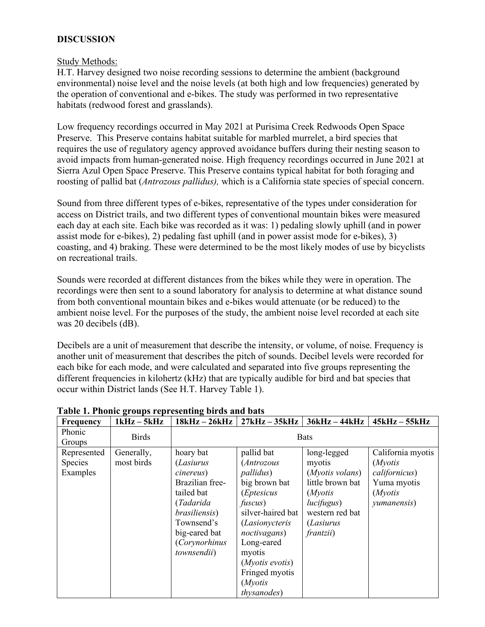## **DISCUSSION**

#### Study Methods:

H.T. Harvey designed two noise recording sessions to determine the ambient (background environmental) noise level and the noise levels (at both high and low frequencies) generated by the operation of conventional and e-bikes. The study was performed in two representative habitats (redwood forest and grasslands).

Low frequency recordings occurred in May 2021 at Purisima Creek Redwoods Open Space Preserve. This Preserve contains habitat suitable for marbled murrelet, a bird species that requires the use of regulatory agency approved avoidance buffers during their nesting season to avoid impacts from human-generated noise. High frequency recordings occurred in June 2021 at Sierra Azul Open Space Preserve. This Preserve contains typical habitat for both foraging and roosting of pallid bat (*Antrozous pallidus),* which is a California state species of special concern.

Sound from three different types of e-bikes, representative of the types under consideration for access on District trails, and two different types of conventional mountain bikes were measured each day at each site. Each bike was recorded as it was: 1) pedaling slowly uphill (and in power assist mode for e-bikes), 2) pedaling fast uphill (and in power assist mode for e-bikes), 3) coasting, and 4) braking. These were determined to be the most likely modes of use by bicyclists on recreational trails.

Sounds were recorded at different distances from the bikes while they were in operation. The recordings were then sent to a sound laboratory for analysis to determine at what distance sound from both conventional mountain bikes and e-bikes would attenuate (or be reduced) to the ambient noise level. For the purposes of the study, the ambient noise level recorded at each site was 20 decibels (dB).

Decibels are a unit of measurement that describe the intensity, or volume, of noise. Frequency is another unit of measurement that describes the pitch of sounds. Decibel levels were recorded for each bike for each mode, and were calculated and separated into five groups representing the different frequencies in kilohertz (kHz) that are typically audible for bird and bat species that occur within District lands (See H.T. Harvey Table 1).

| Frequency                          | $1kHz - 5kHz$            | 18kHz – 26kHz                                                                                                                                                                           |                                                                                                                                                                                                                                                                 | $27kHz - 35kHz$   36kHz - 44kHz                                                                                                                   | $45kHz - 55kHz$                                                                                |
|------------------------------------|--------------------------|-----------------------------------------------------------------------------------------------------------------------------------------------------------------------------------------|-----------------------------------------------------------------------------------------------------------------------------------------------------------------------------------------------------------------------------------------------------------------|---------------------------------------------------------------------------------------------------------------------------------------------------|------------------------------------------------------------------------------------------------|
| <b>Phonic</b><br>Groups            | <b>Birds</b>             | <b>Bats</b>                                                                                                                                                                             |                                                                                                                                                                                                                                                                 |                                                                                                                                                   |                                                                                                |
| Represented<br>Species<br>Examples | Generally,<br>most birds | hoary bat<br><i>(Lasiurus</i><br>cinereus)<br>Brazilian free-<br>tailed bat<br>(Tadarida<br>brasiliensis)<br>Townsend's<br>big-eared bat<br><i>(Corynorhinus</i><br><i>townsendii</i> ) | pallid bat<br>(Antrozous<br><i>pallidus</i> )<br>big brown bat<br><i>(Eptesicus</i><br>fuscus)<br>silver-haired bat<br><i>(Lasionycteris</i> )<br>noctivagans)<br>Long-eared<br>myotis<br>$(Myotis$ evotis)<br>Fringed myotis<br>(Myotis<br><i>thysanodes</i> ) | long-legged<br>myotis<br>(Myotis volans)<br>little brown bat<br>(Myotis<br>lucifugus)<br>western red bat<br><i>(Lasiurus</i><br><i>frantzii</i> ) | California myotis<br>(Myotis<br>californicus)<br>Yuma myotis<br>( <i>Myotis</i><br>yumanensis) |

#### **Table 1. Phonic groups representing birds and bats**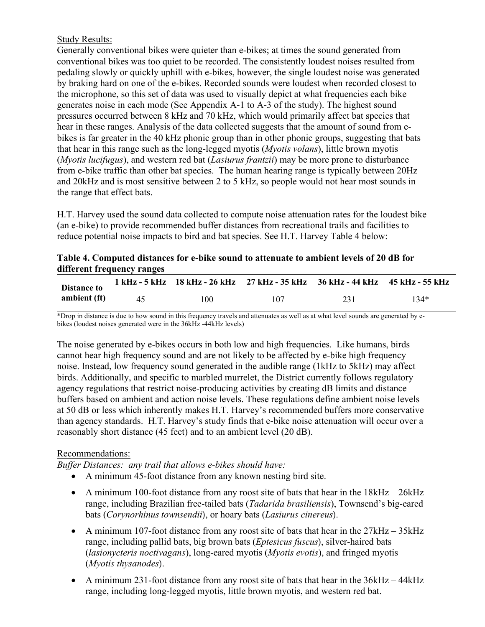## Study Results:

Generally conventional bikes were quieter than e-bikes; at times the sound generated from conventional bikes was too quiet to be recorded. The consistently loudest noises resulted from pedaling slowly or quickly uphill with e-bikes, however, the single loudest noise was generated by braking hard on one of the e-bikes. Recorded sounds were loudest when recorded closest to the microphone, so this set of data was used to visually depict at what frequencies each bike generates noise in each mode (See Appendix A-1 to A-3 of the study). The highest sound pressures occurred between 8 kHz and 70 kHz, which would primarily affect bat species that hear in these ranges. Analysis of the data collected suggests that the amount of sound from ebikes is far greater in the 40 kHz phonic group than in other phonic groups, suggesting that bats that hear in this range such as the long-legged myotis (*Myotis volans*), little brown myotis (*Myotis lucifugus*), and western red bat (*Lasiurus frantzii*) may be more prone to disturbance from e-bike traffic than other bat species. The human hearing range is typically between 20Hz and 20kHz and is most sensitive between 2 to 5 kHz, so people would not hear most sounds in the range that effect bats.

H.T. Harvey used the sound data collected to compute noise attenuation rates for the loudest bike (an e-bike) to provide recommended buffer distances from recreational trails and facilities to reduce potential noise impacts to bird and bat species. See H.T. Harvey Table 4 below:

|                            | Table 4. Computed distances for e-bike sound to attenuate to ambient levels of 20 dB for |  |  |
|----------------------------|------------------------------------------------------------------------------------------|--|--|
| different frequency ranges |                                                                                          |  |  |

| Distance to<br>ambient (ft) |    |     | 1 kHz - 5 kHz 18 kHz - 26 kHz 27 kHz - 35 kHz 36 kHz - 44 kHz 45 kHz - 55 kHz |     |      |
|-----------------------------|----|-----|-------------------------------------------------------------------------------|-----|------|
|                             | 45 | 100 | 107                                                                           | 231 | 134* |

\*Drop in distance is due to how sound in this frequency travels and attenuates as well as at what level sounds are generated by ebikes (loudest noises generated were in the 36kHz -44kHz levels)

The noise generated by e-bikes occurs in both low and high frequencies. Like humans, birds cannot hear high frequency sound and are not likely to be affected by e-bike high frequency noise. Instead, low frequency sound generated in the audible range (1kHz to 5kHz) may affect birds. Additionally, and specific to marbled murrelet, the District currently follows regulatory agency regulations that restrict noise-producing activities by creating dB limits and distance buffers based on ambient and action noise levels. These regulations define ambient noise levels at 50 dB or less which inherently makes H.T. Harvey's recommended buffers more conservative than agency standards. H.T. Harvey's study finds that e-bike noise attenuation will occur over a reasonably short distance (45 feet) and to an ambient level (20 dB).

## Recommendations:

*Buffer Distances: any trail that allows e-bikes should have:*

- A minimum 45-foot distance from any known nesting bird site.
- A minimum 100-foot distance from any roost site of bats that hear in the 18kHz 26kHz range, including Brazilian free-tailed bats (*Tadarida brasiliensis*), Townsend's big-eared bats (*Corynorhinus townsendii*), or hoary bats (*Lasiurus cinereus*).
- A minimum 107-foot distance from any roost site of bats that hear in the  $27kHz 35kHz$ range, including pallid bats, big brown bats (*Eptesicus fuscus*), silver-haired bats (*lasionycteris noctivagans*), long-eared myotis (*Myotis evotis*), and fringed myotis (*Myotis thysanodes*).
- A minimum 231-foot distance from any roost site of bats that hear in the 36kHz 44kHz range, including long-legged myotis, little brown myotis, and western red bat.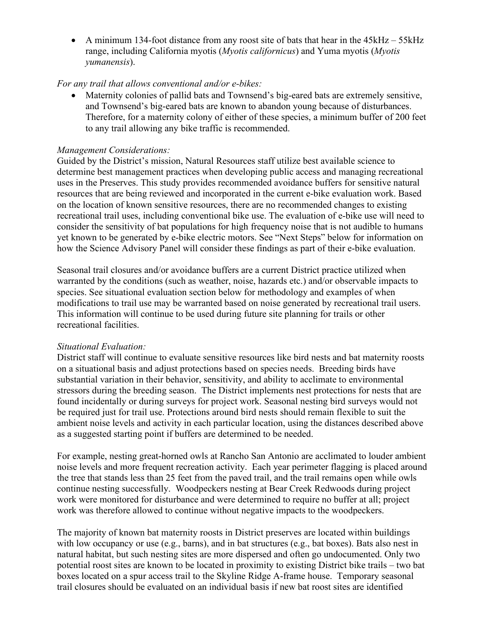• A minimum 134-foot distance from any roost site of bats that hear in the 45kHz – 55kHz range, including California myotis (*Myotis californicus*) and Yuma myotis (*Myotis yumanensis*).

## *For any trail that allows conventional and/or e-bikes:*

• Maternity colonies of pallid bats and Townsend's big-eared bats are extremely sensitive, and Townsend's big-eared bats are known to abandon young because of disturbances. Therefore, for a maternity colony of either of these species, a minimum buffer of 200 feet to any trail allowing any bike traffic is recommended.

#### *Management Considerations:*

Guided by the District's mission, Natural Resources staff utilize best available science to determine best management practices when developing public access and managing recreational uses in the Preserves. This study provides recommended avoidance buffers for sensitive natural resources that are being reviewed and incorporated in the current e-bike evaluation work. Based on the location of known sensitive resources, there are no recommended changes to existing recreational trail uses, including conventional bike use. The evaluation of e-bike use will need to consider the sensitivity of bat populations for high frequency noise that is not audible to humans yet known to be generated by e-bike electric motors. See "Next Steps" below for information on how the Science Advisory Panel will consider these findings as part of their e-bike evaluation.

Seasonal trail closures and/or avoidance buffers are a current District practice utilized when warranted by the conditions (such as weather, noise, hazards etc.) and/or observable impacts to species. See situational evaluation section below for methodology and examples of when modifications to trail use may be warranted based on noise generated by recreational trail users. This information will continue to be used during future site planning for trails or other recreational facilities.

#### *Situational Evaluation:*

District staff will continue to evaluate sensitive resources like bird nests and bat maternity roosts on a situational basis and adjust protections based on species needs. Breeding birds have substantial variation in their behavior, sensitivity, and ability to acclimate to environmental stressors during the breeding season. The District implements nest protections for nests that are found incidentally or during surveys for project work. Seasonal nesting bird surveys would not be required just for trail use. Protections around bird nests should remain flexible to suit the ambient noise levels and activity in each particular location, using the distances described above as a suggested starting point if buffers are determined to be needed.

For example, nesting great-horned owls at Rancho San Antonio are acclimated to louder ambient noise levels and more frequent recreation activity. Each year perimeter flagging is placed around the tree that stands less than 25 feet from the paved trail, and the trail remains open while owls continue nesting successfully. Woodpeckers nesting at Bear Creek Redwoods during project work were monitored for disturbance and were determined to require no buffer at all; project work was therefore allowed to continue without negative impacts to the woodpeckers.

The majority of known bat maternity roosts in District preserves are located within buildings with low occupancy or use (e.g., barns), and in bat structures (e.g., bat boxes). Bats also nest in natural habitat, but such nesting sites are more dispersed and often go undocumented. Only two potential roost sites are known to be located in proximity to existing District bike trails – two bat boxes located on a spur access trail to the Skyline Ridge A-frame house. Temporary seasonal trail closures should be evaluated on an individual basis if new bat roost sites are identified